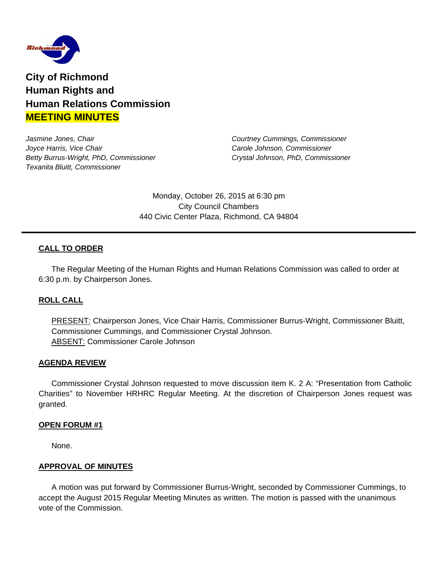

**City of Richmond Human Rights and Human Relations Commission MEETING MINUTES**

*Jasmine Jones, Chair Courtney Cummings, Commissioner Joyce Harris, Vice Chair Carole Johnson, Commissioner Betty Burrus-Wright, PhD, Commissioner Crystal Johnson, PhD, Commissioner Texanita Bluitt, Commissioner* 

Monday, October 26, 2015 at 6:30 pm City Council Chambers 440 Civic Center Plaza, Richmond, CA 94804

### **CALL TO ORDER**

The Regular Meeting of the Human Rights and Human Relations Commission was called to order at 6:30 p.m. by Chairperson Jones.

### **ROLL CALL**

PRESENT: Chairperson Jones, Vice Chair Harris, Commissioner Burrus-Wright, Commissioner Bluitt, Commissioner Cummings, and Commissioner Crystal Johnson. ABSENT: Commissioner Carole Johnson

#### **AGENDA REVIEW**

Commissioner Crystal Johnson requested to move discussion item K. 2 A: "Presentation from Catholic Charities" to November HRHRC Regular Meeting. At the discretion of Chairperson Jones request was granted.

#### **OPEN FORUM #1**

None.

#### **APPROVAL OF MINUTES**

A motion was put forward by Commissioner Burrus-Wright, seconded by Commissioner Cummings, to accept the August 2015 Regular Meeting Minutes as written. The motion is passed with the unanimous vote of the Commission.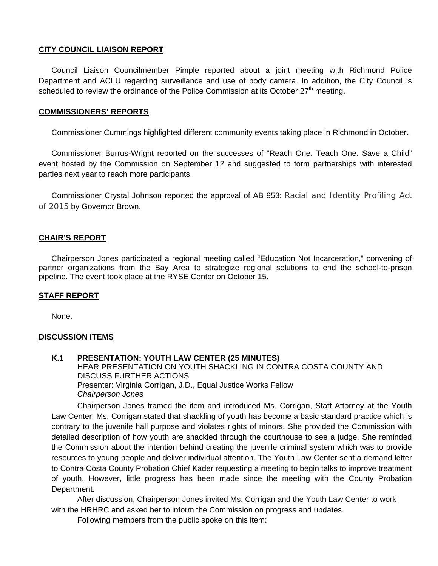### **CITY COUNCIL LIAISON REPORT**

 Council Liaison Councilmember Pimple reported about a joint meeting with Richmond Police Department and ACLU regarding surveillance and use of body camera. In addition, the City Council is scheduled to review the ordinance of the Police Commission at its October  $27<sup>th</sup>$  meeting.

### **COMMISSIONERS' REPORTS**

Commissioner Cummings highlighted different community events taking place in Richmond in October.

 Commissioner Burrus-Wright reported on the successes of "Reach One. Teach One. Save a Child" event hosted by the Commission on September 12 and suggested to form partnerships with interested parties next year to reach more participants.

 Commissioner Crystal Johnson reported the approval of AB 953: Racial and Identity Profiling Act of 2015 by Governor Brown.

### **CHAIR'S REPORT**

Chairperson Jones participated a regional meeting called "Education Not Incarceration," convening of partner organizations from the Bay Area to strategize regional solutions to end the school-to-prison pipeline. The event took place at the RYSE Center on October 15.

### **STAFF REPORT**

None.

### **DISCUSSION ITEMS**

**K.1 PRESENTATION: YOUTH LAW CENTER (25 MINUTES)**  HEAR PRESENTATION ON YOUTH SHACKLING IN CONTRA COSTA COUNTY AND DISCUSS FURTHER ACTIONS Presenter: Virginia Corrigan, J.D., Equal Justice Works Fellow *Chairperson Jones*

Chairperson Jones framed the item and introduced Ms. Corrigan, Staff Attorney at the Youth Law Center. Ms. Corrigan stated that shackling of youth has become a basic standard practice which is contrary to the juvenile hall purpose and violates rights of minors. She provided the Commission with detailed description of how youth are shackled through the courthouse to see a judge. She reminded the Commission about the intention behind creating the juvenile criminal system which was to provide resources to young people and deliver individual attention. The Youth Law Center sent a demand letter to Contra Costa County Probation Chief Kader requesting a meeting to begin talks to improve treatment of youth. However, little progress has been made since the meeting with the County Probation Department.

After discussion, Chairperson Jones invited Ms. Corrigan and the Youth Law Center to work with the HRHRC and asked her to inform the Commission on progress and updates.

Following members from the public spoke on this item: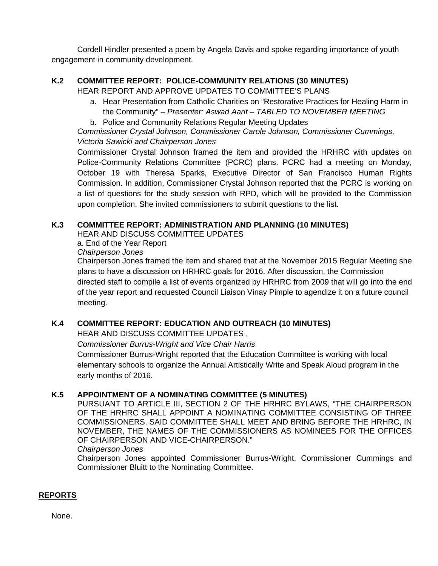Cordell Hindler presented a poem by Angela Davis and spoke regarding importance of youth engagement in community development.

# **K.2 COMMITTEE REPORT: POLICE-COMMUNITY RELATIONS (30 MINUTES)**

HEAR REPORT AND APPROVE UPDATES TO COMMITTEE'S PLANS

- a. Hear Presentation from Catholic Charities on "Restorative Practices for Healing Harm in the Community" – *Presenter: Aswad Aarif – TABLED TO NOVEMBER MEETING*
- b. Police and Community Relations Regular Meeting Updates

*Commissioner Crystal Johnson, Commissioner Carole Johnson, Commissioner Cummings, Victoria Sawicki and Chairperson Jones* 

Commissioner Crystal Johnson framed the item and provided the HRHRC with updates on Police-Community Relations Committee (PCRC) plans. PCRC had a meeting on Monday, October 19 with Theresa Sparks, Executive Director of San Francisco Human Rights Commission. In addition, Commissioner Crystal Johnson reported that the PCRC is working on a list of questions for the study session with RPD, which will be provided to the Commission upon completion. She invited commissioners to submit questions to the list.

# **K.3 COMMITTEE REPORT: ADMINISTRATION AND PLANNING (10 MINUTES)**

HEAR AND DISCUSS COMMITTEE UPDATES

 a. End of the Year Report *Chairperson Jones* 

 Chairperson Jones framed the item and shared that at the November 2015 Regular Meeting she plans to have a discussion on HRHRC goals for 2016. After discussion, the Commission directed staff to compile a list of events organized by HRHRC from 2009 that will go into the end of the year report and requested Council Liaison Vinay Pimple to agendize it on a future council meeting.

# **K.4 COMMITTEE REPORT: EDUCATION AND OUTREACH (10 MINUTES)**

HEAR AND DISCUSS COMMITTEE UPDATES ,

*Commissioner Burrus-Wright and Vice Chair Harris* 

Commissioner Burrus-Wright reported that the Education Committee is working with local elementary schools to organize the Annual Artistically Write and Speak Aloud program in the early months of 2016.

# **K.5 APPOINTMENT OF A NOMINATING COMMITTEE (5 MINUTES)**

 PURSUANT TO ARTICLE III, SECTION 2 OF THE HRHRC BYLAWS, "THE CHAIRPERSON OF THE HRHRC SHALL APPOINT A NOMINATING COMMITTEE CONSISTING OF THREE COMMISSIONERS. SAID COMMITTEE SHALL MEET AND BRING BEFORE THE HRHRC, IN NOVEMBER, THE NAMES OF THE COMMISSIONERS AS NOMINEES FOR THE OFFICES OF CHAIRPERSON AND VICE-CHAIRPERSON."

*Chairperson Jones* 

Chairperson Jones appointed Commissioner Burrus-Wright, Commissioner Cummings and Commissioner Bluitt to the Nominating Committee.

# **REPORTS**

None.